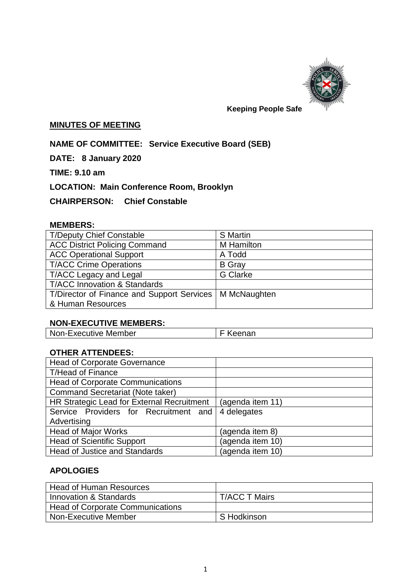

## **Keeping People Safe**

#### **MINUTES OF MEETING**

**NAME OF COMMITTEE: Service Executive Board (SEB)**

**DATE: 8 January 2020**

**TIME: 9.10 am**

**LOCATION: Main Conference Room, Brooklyn**

**CHAIRPERSON: Chief Constable** 

## **MEMBERS:**

| <b>T/Deputy Chief Constable</b>                           | S Martin        |
|-----------------------------------------------------------|-----------------|
| <b>ACC District Policing Command</b>                      | M Hamilton      |
| <b>ACC Operational Support</b>                            | A Todd          |
| <b>T/ACC Crime Operations</b>                             | <b>B</b> Gray   |
| T/ACC Legacy and Legal                                    | <b>G</b> Clarke |
| <b>T/ACC Innovation &amp; Standards</b>                   |                 |
| T/Director of Finance and Support Services   M McNaughten |                 |
| & Human Resources                                         |                 |

# **NON-EXECUTIVE MEMBERS:**

| Non-Executive Member | F Keenan |
|----------------------|----------|
|----------------------|----------|

## **OTHER ATTENDEES:**

| <b>Head of Corporate Governance</b>        |                  |
|--------------------------------------------|------------------|
| <b>T/Head of Finance</b>                   |                  |
| <b>Head of Corporate Communications</b>    |                  |
| <b>Command Secretariat (Note taker)</b>    |                  |
| HR Strategic Lead for External Recruitment | (agenda item 11) |
| Service Providers for Recruitment and      | 4 delegates      |
| Advertising                                |                  |
| <b>Head of Major Works</b>                 | (agenda item 8)  |
| <b>Head of Scientific Support</b>          | (agenda item 10) |
| <b>Head of Justice and Standards</b>       | (agenda item 10) |

## **APOLOGIES**

| Head of Human Resources                 |                      |
|-----------------------------------------|----------------------|
| Innovation & Standards                  | <b>T/ACC T Mairs</b> |
| <b>Head of Corporate Communications</b> |                      |
| Non-Executive Member                    | S Hodkinson          |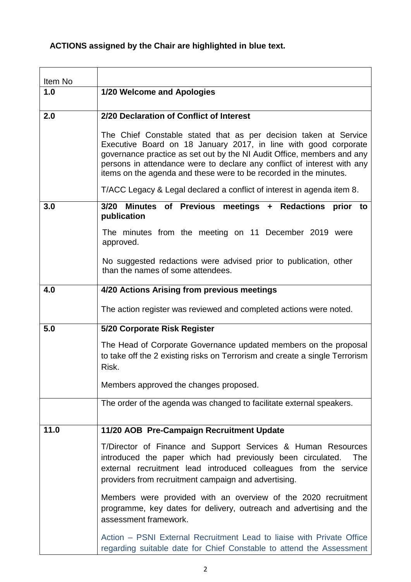# **ACTIONS assigned by the Chair are highlighted in blue text.**

| Item No |                                                                                                                                                                                                                                                                                                                                                               |  |
|---------|---------------------------------------------------------------------------------------------------------------------------------------------------------------------------------------------------------------------------------------------------------------------------------------------------------------------------------------------------------------|--|
| 1.0     | 1/20 Welcome and Apologies                                                                                                                                                                                                                                                                                                                                    |  |
|         |                                                                                                                                                                                                                                                                                                                                                               |  |
| 2.0     | 2/20 Declaration of Conflict of Interest                                                                                                                                                                                                                                                                                                                      |  |
|         | The Chief Constable stated that as per decision taken at Service<br>Executive Board on 18 January 2017, in line with good corporate<br>governance practice as set out by the NI Audit Office, members and any<br>persons in attendance were to declare any conflict of interest with any<br>items on the agenda and these were to be recorded in the minutes. |  |
|         | T/ACC Legacy & Legal declared a conflict of interest in agenda item 8.                                                                                                                                                                                                                                                                                        |  |
| 3.0     | 3/20 Minutes of Previous meetings + Redactions prior to<br>publication                                                                                                                                                                                                                                                                                        |  |
|         | The minutes from the meeting on 11 December 2019 were<br>approved.                                                                                                                                                                                                                                                                                            |  |
|         | No suggested redactions were advised prior to publication, other<br>than the names of some attendees.                                                                                                                                                                                                                                                         |  |
| 4.0     | 4/20 Actions Arising from previous meetings                                                                                                                                                                                                                                                                                                                   |  |
|         | The action register was reviewed and completed actions were noted.                                                                                                                                                                                                                                                                                            |  |
| 5.0     | 5/20 Corporate Risk Register                                                                                                                                                                                                                                                                                                                                  |  |
|         | The Head of Corporate Governance updated members on the proposal<br>to take off the 2 existing risks on Terrorism and create a single Terrorism<br>Risk.                                                                                                                                                                                                      |  |
|         | Members approved the changes proposed.                                                                                                                                                                                                                                                                                                                        |  |
|         | The order of the agenda was changed to facilitate external speakers.                                                                                                                                                                                                                                                                                          |  |
| 11.0    | 11/20 AOB Pre-Campaign Recruitment Update                                                                                                                                                                                                                                                                                                                     |  |
|         | T/Director of Finance and Support Services & Human Resources<br>introduced the paper which had previously been circulated.<br>The<br>external recruitment lead introduced colleagues from the service<br>providers from recruitment campaign and advertising.                                                                                                 |  |
|         | Members were provided with an overview of the 2020 recruitment<br>programme, key dates for delivery, outreach and advertising and the<br>assessment framework.                                                                                                                                                                                                |  |
|         | Action – PSNI External Recruitment Lead to liaise with Private Office<br>regarding suitable date for Chief Constable to attend the Assessment                                                                                                                                                                                                                 |  |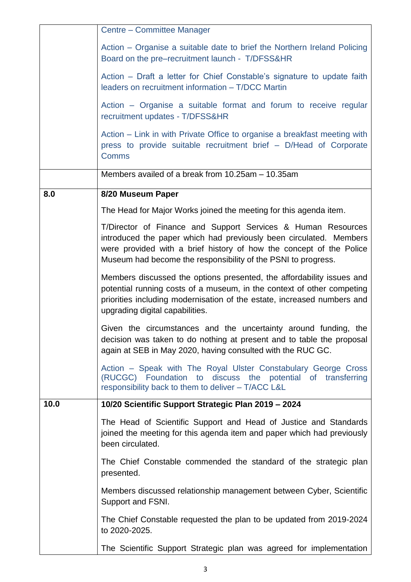|      | Centre - Committee Manager                                                                                                                                                                                                                                                 |
|------|----------------------------------------------------------------------------------------------------------------------------------------------------------------------------------------------------------------------------------------------------------------------------|
|      | Action – Organise a suitable date to brief the Northern Ireland Policing<br>Board on the pre-recruitment launch - T/DFSS&HR                                                                                                                                                |
|      | Action – Draft a letter for Chief Constable's signature to update faith<br>leaders on recruitment information - T/DCC Martin                                                                                                                                               |
|      | Action – Organise a suitable format and forum to receive regular<br>recruitment updates - T/DFSS&HR                                                                                                                                                                        |
|      | Action – Link in with Private Office to organise a breakfast meeting with<br>press to provide suitable recruitment brief - D/Head of Corporate<br><b>Comms</b>                                                                                                             |
|      | Members availed of a break from 10.25am - 10.35am                                                                                                                                                                                                                          |
| 8.0  | 8/20 Museum Paper                                                                                                                                                                                                                                                          |
|      | The Head for Major Works joined the meeting for this agenda item.                                                                                                                                                                                                          |
|      | T/Director of Finance and Support Services & Human Resources<br>introduced the paper which had previously been circulated. Members<br>were provided with a brief history of how the concept of the Police<br>Museum had become the responsibility of the PSNI to progress. |
|      | Members discussed the options presented, the affordability issues and<br>potential running costs of a museum, in the context of other competing<br>priorities including modernisation of the estate, increased numbers and<br>upgrading digital capabilities.              |
|      | Given the circumstances and the uncertainty around funding, the<br>decision was taken to do nothing at present and to table the proposal<br>again at SEB in May 2020, having consulted with the RUC GC.                                                                    |
|      | Action – Speak with The Royal Ulster Constabulary George Cross<br>(RUCGC) Foundation to discuss the potential of transferring<br>responsibility back to them to deliver - T/ACC L&L                                                                                        |
| 10.0 | 10/20 Scientific Support Strategic Plan 2019 - 2024                                                                                                                                                                                                                        |
|      | The Head of Scientific Support and Head of Justice and Standards<br>joined the meeting for this agenda item and paper which had previously<br>been circulated.                                                                                                             |
|      | The Chief Constable commended the standard of the strategic plan<br>presented.                                                                                                                                                                                             |
|      | Members discussed relationship management between Cyber, Scientific<br>Support and FSNI.                                                                                                                                                                                   |
|      | The Chief Constable requested the plan to be updated from 2019-2024<br>to 2020-2025.                                                                                                                                                                                       |
|      | The Scientific Support Strategic plan was agreed for implementation                                                                                                                                                                                                        |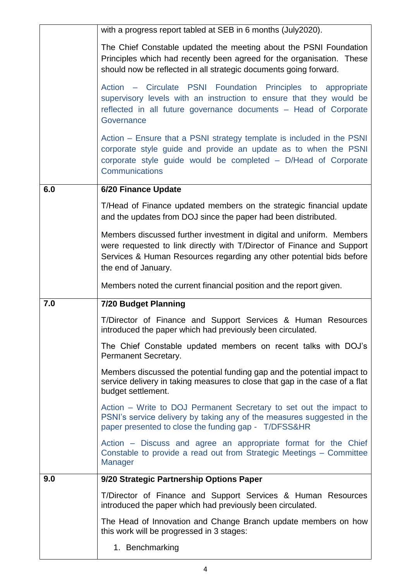|     | with a progress report tabled at SEB in 6 months (July2020).                                                                                                                                                                                  |
|-----|-----------------------------------------------------------------------------------------------------------------------------------------------------------------------------------------------------------------------------------------------|
|     | The Chief Constable updated the meeting about the PSNI Foundation<br>Principles which had recently been agreed for the organisation. These<br>should now be reflected in all strategic documents going forward.                               |
|     | Action – Circulate PSNI Foundation Principles to appropriate<br>supervisory levels with an instruction to ensure that they would be<br>reflected in all future governance documents - Head of Corporate<br>Governance                         |
|     | Action – Ensure that a PSNI strategy template is included in the PSNI<br>corporate style guide and provide an update as to when the PSNI<br>corporate style guide would be completed - D/Head of Corporate<br><b>Communications</b>           |
| 6.0 | 6/20 Finance Update                                                                                                                                                                                                                           |
|     | T/Head of Finance updated members on the strategic financial update<br>and the updates from DOJ since the paper had been distributed.                                                                                                         |
|     | Members discussed further investment in digital and uniform. Members<br>were requested to link directly with T/Director of Finance and Support<br>Services & Human Resources regarding any other potential bids before<br>the end of January. |
|     | Members noted the current financial position and the report given.                                                                                                                                                                            |
| 7.0 | <b>7/20 Budget Planning</b>                                                                                                                                                                                                                   |
|     | T/Director of Finance and Support Services & Human Resources<br>introduced the paper which had previously been circulated.                                                                                                                    |
|     | The Chief Constable updated members on recent talks with DOJ's<br>Permanent Secretary.                                                                                                                                                        |
|     | Members discussed the potential funding gap and the potential impact to<br>service delivery in taking measures to close that gap in the case of a flat<br>budget settlement.                                                                  |
|     | Action – Write to DOJ Permanent Secretary to set out the impact to<br>PSNI's service delivery by taking any of the measures suggested in the<br>paper presented to close the funding gap - T/DFSS&HR                                          |
|     | Action – Discuss and agree an appropriate format for the Chief<br>Constable to provide a read out from Strategic Meetings - Committee                                                                                                         |
|     | Manager                                                                                                                                                                                                                                       |
| 9.0 | 9/20 Strategic Partnership Options Paper                                                                                                                                                                                                      |
|     | T/Director of Finance and Support Services & Human Resources<br>introduced the paper which had previously been circulated.                                                                                                                    |
|     | The Head of Innovation and Change Branch update members on how<br>this work will be progressed in 3 stages:                                                                                                                                   |